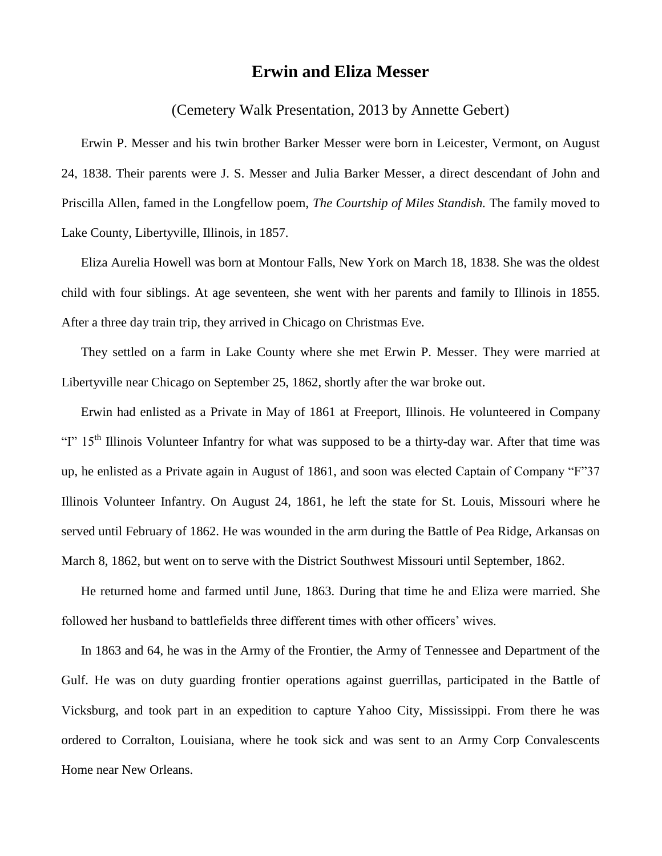## **Erwin and Eliza Messer**

(Cemetery Walk Presentation, 2013 by Annette Gebert)

Erwin P. Messer and his twin brother Barker Messer were born in Leicester, Vermont, on August 24, 1838. Their parents were J. S. Messer and Julia Barker Messer, a direct descendant of John and Priscilla Allen, famed in the Longfellow poem, *The Courtship of Miles Standish.* The family moved to Lake County, Libertyville, Illinois, in 1857.

Eliza Aurelia Howell was born at Montour Falls, New York on March 18, 1838. She was the oldest child with four siblings. At age seventeen, she went with her parents and family to Illinois in 1855. After a three day train trip, they arrived in Chicago on Christmas Eve.

They settled on a farm in Lake County where she met Erwin P. Messer. They were married at Libertyville near Chicago on September 25, 1862, shortly after the war broke out.

Erwin had enlisted as a Private in May of 1861 at Freeport, Illinois. He volunteered in Company "I"  $15<sup>th</sup>$  Illinois Volunteer Infantry for what was supposed to be a thirty-day war. After that time was up, he enlisted as a Private again in August of 1861, and soon was elected Captain of Company "F"37 Illinois Volunteer Infantry. On August 24, 1861, he left the state for St. Louis, Missouri where he served until February of 1862. He was wounded in the arm during the Battle of Pea Ridge, Arkansas on March 8, 1862, but went on to serve with the District Southwest Missouri until September, 1862.

He returned home and farmed until June, 1863. During that time he and Eliza were married. She followed her husband to battlefields three different times with other officers' wives.

In 1863 and 64, he was in the Army of the Frontier, the Army of Tennessee and Department of the Gulf. He was on duty guarding frontier operations against guerrillas, participated in the Battle of Vicksburg, and took part in an expedition to capture Yahoo City, Mississippi. From there he was ordered to Corralton, Louisiana, where he took sick and was sent to an Army Corp Convalescents Home near New Orleans.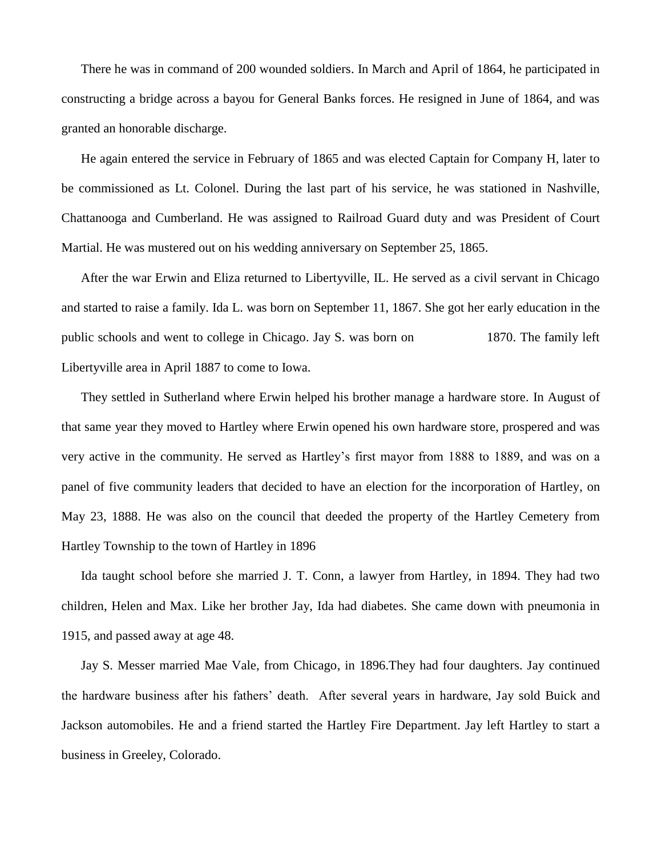There he was in command of 200 wounded soldiers. In March and April of 1864, he participated in constructing a bridge across a bayou for General Banks forces. He resigned in June of 1864, and was granted an honorable discharge.

He again entered the service in February of 1865 and was elected Captain for Company H, later to be commissioned as Lt. Colonel. During the last part of his service, he was stationed in Nashville, Chattanooga and Cumberland. He was assigned to Railroad Guard duty and was President of Court Martial. He was mustered out on his wedding anniversary on September 25, 1865.

After the war Erwin and Eliza returned to Libertyville, IL. He served as a civil servant in Chicago and started to raise a family. Ida L. was born on September 11, 1867. She got her early education in the public schools and went to college in Chicago. Jay S. was born on 1870. The family left Libertyville area in April 1887 to come to Iowa.

They settled in Sutherland where Erwin helped his brother manage a hardware store. In August of that same year they moved to Hartley where Erwin opened his own hardware store, prospered and was very active in the community. He served as Hartley's first mayor from 1888 to 1889, and was on a panel of five community leaders that decided to have an election for the incorporation of Hartley, on May 23, 1888. He was also on the council that deeded the property of the Hartley Cemetery from Hartley Township to the town of Hartley in 1896

Ida taught school before she married J. T. Conn, a lawyer from Hartley, in 1894. They had two children, Helen and Max. Like her brother Jay, Ida had diabetes. She came down with pneumonia in 1915, and passed away at age 48.

Jay S. Messer married Mae Vale, from Chicago, in 1896.They had four daughters. Jay continued the hardware business after his fathers' death. After several years in hardware, Jay sold Buick and Jackson automobiles. He and a friend started the Hartley Fire Department. Jay left Hartley to start a business in Greeley, Colorado.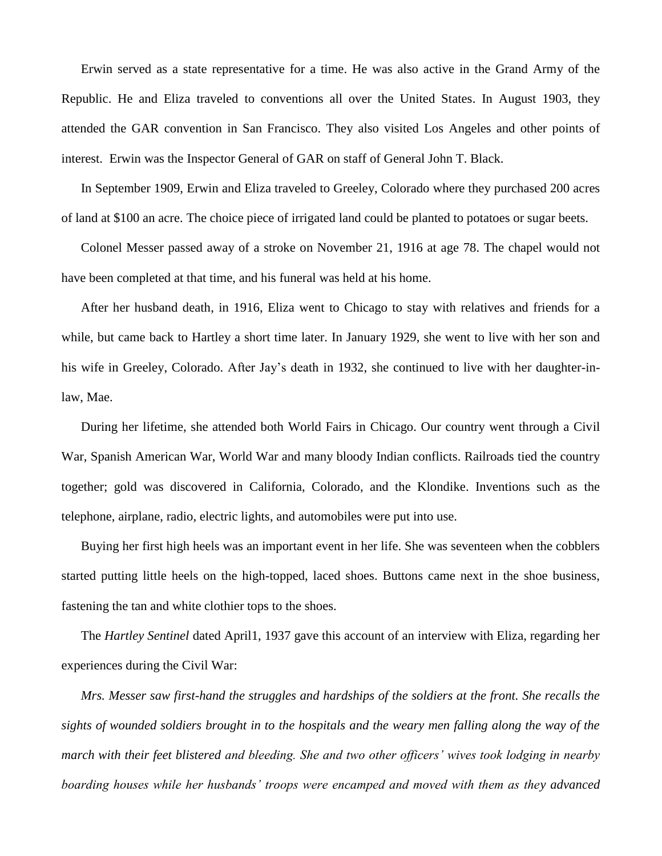Erwin served as a state representative for a time. He was also active in the Grand Army of the Republic. He and Eliza traveled to conventions all over the United States. In August 1903, they attended the GAR convention in San Francisco. They also visited Los Angeles and other points of interest. Erwin was the Inspector General of GAR on staff of General John T. Black.

In September 1909, Erwin and Eliza traveled to Greeley, Colorado where they purchased 200 acres of land at \$100 an acre. The choice piece of irrigated land could be planted to potatoes or sugar beets.

Colonel Messer passed away of a stroke on November 21, 1916 at age 78. The chapel would not have been completed at that time, and his funeral was held at his home.

After her husband death, in 1916, Eliza went to Chicago to stay with relatives and friends for a while, but came back to Hartley a short time later. In January 1929, she went to live with her son and his wife in Greeley, Colorado. After Jay's death in 1932, she continued to live with her daughter-inlaw, Mae.

During her lifetime, she attended both World Fairs in Chicago. Our country went through a Civil War, Spanish American War, World War and many bloody Indian conflicts. Railroads tied the country together; gold was discovered in California, Colorado, and the Klondike. Inventions such as the telephone, airplane, radio, electric lights, and automobiles were put into use.

Buying her first high heels was an important event in her life. She was seventeen when the cobblers started putting little heels on the high-topped, laced shoes. Buttons came next in the shoe business, fastening the tan and white clothier tops to the shoes.

The *Hartley Sentinel* dated April1, 1937 gave this account of an interview with Eliza, regarding her experiences during the Civil War:

*Mrs. Messer saw first-hand the struggles and hardships of the soldiers at the front. She recalls the sights of wounded soldiers brought in to the hospitals and the weary men falling along the way of the march with their feet blistered and bleeding. She and two other officers' wives took lodging in nearby boarding houses while her husbands' troops were encamped and moved with them as they advanced*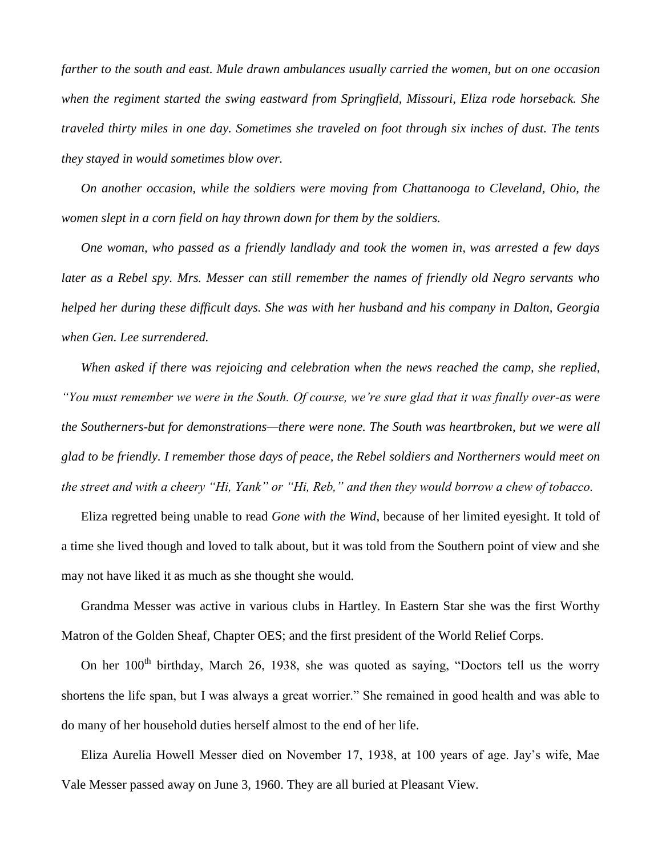*farther to the south and east. Mule drawn ambulances usually carried the women, but on one occasion when the regiment started the swing eastward from Springfield, Missouri, Eliza rode horseback. She traveled thirty miles in one day. Sometimes she traveled on foot through six inches of dust. The tents they stayed in would sometimes blow over.*

*On another occasion, while the soldiers were moving from Chattanooga to Cleveland, Ohio, the women slept in a corn field on hay thrown down for them by the soldiers.*

*One woman, who passed as a friendly landlady and took the women in, was arrested a few days later as a Rebel spy. Mrs. Messer can still remember the names of friendly old Negro servants who helped her during these difficult days. She was with her husband and his company in Dalton, Georgia when Gen. Lee surrendered.*

*When asked if there was rejoicing and celebration when the news reached the camp, she replied, "You must remember we were in the South. Of course, we're sure glad that it was finally over-as were the Southerners-but for demonstrations—there were none. The South was heartbroken, but we were all glad to be friendly. I remember those days of peace, the Rebel soldiers and Northerners would meet on the street and with a cheery "Hi, Yank" or "Hi, Reb," and then they would borrow a chew of tobacco.*

Eliza regretted being unable to read *Gone with the Wind*, because of her limited eyesight. It told of a time she lived though and loved to talk about, but it was told from the Southern point of view and she may not have liked it as much as she thought she would.

Grandma Messer was active in various clubs in Hartley. In Eastern Star she was the first Worthy Matron of the Golden Sheaf, Chapter OES; and the first president of the World Relief Corps.

On her 100<sup>th</sup> birthday, March 26, 1938, she was quoted as saying, "Doctors tell us the worry shortens the life span, but I was always a great worrier." She remained in good health and was able to do many of her household duties herself almost to the end of her life.

Eliza Aurelia Howell Messer died on November 17, 1938, at 100 years of age. Jay's wife, Mae Vale Messer passed away on June 3, 1960. They are all buried at Pleasant View.